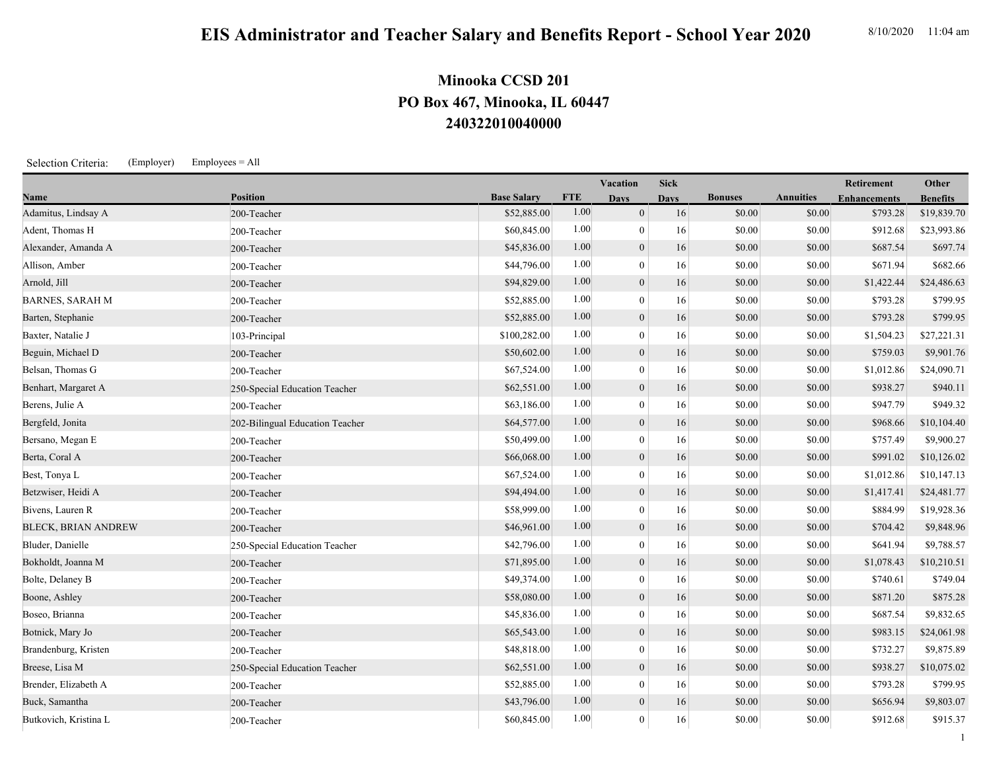## **240322010040000 PO Box 467, Minooka, IL 60447 Minooka CCSD 201**

Selection Criteria: (Employer) Employees = All

|                            |                                 |                    |            | Vacation         | <b>Sick</b> |                |                  | Retirement          | Other           |
|----------------------------|---------------------------------|--------------------|------------|------------------|-------------|----------------|------------------|---------------------|-----------------|
| Name                       | <b>Position</b>                 | <b>Base Salary</b> | <b>FTE</b> | <b>Days</b>      | <b>Days</b> | <b>Bonuses</b> | <b>Annuities</b> | <b>Enhancements</b> | <b>Benefits</b> |
| Adamitus, Lindsay A        | 200-Teacher                     | \$52,885.00        | 1.00       | $\mathbf{0}$     | 16          | \$0.00         | \$0.00           | \$793.28            | \$19,839.70     |
| Adent, Thomas H            | 200-Teacher                     | \$60,845.00        | 1.00       | $\mathbf{0}$     | 16          | \$0.00         | \$0.00           | \$912.68            | \$23,993.86     |
| Alexander, Amanda A        | 200-Teacher                     | \$45,836.00        | 1.00       | $\mathbf{0}$     | 16          | \$0.00         | \$0.00           | \$687.54            | \$697.74        |
| Allison, Amber             | 200-Teacher                     | \$44,796.00        | 1.00       | $\mathbf{0}$     | 16          | \$0.00         | \$0.00           | \$671.94            | \$682.66        |
| Arnold, Jill               | 200-Teacher                     | \$94,829.00        | 1.00       | $\boldsymbol{0}$ | 16          | \$0.00         | \$0.00           | \$1,422.44          | \$24,486.63     |
| <b>BARNES, SARAH M</b>     | 200-Teacher                     | \$52,885.00        | 1.00       | $\mathbf{0}$     | 16          | \$0.00         | \$0.00           | \$793.28            | \$799.95        |
| Barten, Stephanie          | 200-Teacher                     | \$52,885.00        | 1.00       | $\mathbf{0}$     | 16          | \$0.00         | \$0.00           | \$793.28            | \$799.95        |
| Baxter, Natalie J          | 103-Principal                   | \$100,282.00       | 1.00       | $\mathbf{0}$     | 16          | \$0.00         | \$0.00           | \$1,504.23          | \$27,221.31     |
| Beguin, Michael D          | 200-Teacher                     | \$50,602.00        | 1.00       | $\mathbf{0}$     | 16          | \$0.00         | \$0.00           | \$759.03            | \$9,901.76      |
| Belsan, Thomas G           | 200-Teacher                     | \$67,524.00        | 1.00       | $\boldsymbol{0}$ | 16          | \$0.00         | \$0.00           | \$1,012.86          | \$24,090.71     |
| Benhart, Margaret A        | 250-Special Education Teacher   | \$62,551.00        | 1.00       | $\mathbf{0}$     | 16          | \$0.00         | \$0.00           | \$938.27            | \$940.11        |
| Berens, Julie A            | 200-Teacher                     | \$63,186.00        | 1.00       | $\boldsymbol{0}$ | 16          | \$0.00         | \$0.00           | \$947.79            | \$949.32        |
| Bergfeld, Jonita           | 202-Bilingual Education Teacher | \$64,577.00        | 1.00       | $\mathbf{0}$     | 16          | \$0.00         | \$0.00           | \$968.66            | \$10,104.40     |
| Bersano, Megan E           | 200-Teacher                     | \$50,499.00        | 1.00       | $\boldsymbol{0}$ | 16          | \$0.00         | \$0.00           | \$757.49            | \$9,900.27      |
| Berta, Coral A             | 200-Teacher                     | \$66,068.00        | 1.00       | $\mathbf{0}$     | 16          | \$0.00         | \$0.00           | \$991.02            | \$10,126.02     |
| Best, Tonya L              | 200-Teacher                     | \$67,524.00        | 1.00       | $\mathbf{0}$     | 16          | \$0.00         | \$0.00           | \$1,012.86          | \$10,147.13     |
| Betzwiser, Heidi A         | 200-Teacher                     | \$94,494.00        | 1.00       | $\mathbf{0}$     | 16          | \$0.00         | \$0.00           | \$1,417.41          | \$24,481.77     |
| Bivens, Lauren R           | 200-Teacher                     | \$58,999.00        | 1.00       | $\overline{0}$   | 16          | \$0.00         | \$0.00           | \$884.99            | \$19,928.36     |
| <b>BLECK, BRIAN ANDREW</b> | 200-Teacher                     | \$46,961.00        | 1.00       | $\boldsymbol{0}$ | 16          | \$0.00         | \$0.00           | \$704.42            | \$9,848.96      |
| Bluder, Danielle           | 250-Special Education Teacher   | \$42,796.00        | 1.00       | $\mathbf{0}$     | 16          | \$0.00         | \$0.00           | \$641.94            | \$9,788.57      |
| Bokholdt, Joanna M         | 200-Teacher                     | \$71,895.00        | 1.00       | $\mathbf{0}$     | 16          | \$0.00         | \$0.00           | \$1,078.43          | \$10,210.51     |
| Bolte, Delaney B           | 200-Teacher                     | \$49,374.00        | 1.00       | $\mathbf{0}$     | 16          | \$0.00         | \$0.00           | \$740.61            | \$749.04        |
| Boone, Ashley              | 200-Teacher                     | \$58,080.00        | 1.00       | $\mathbf{0}$     | 16          | \$0.00         | \$0.00           | \$871.20            | \$875.28        |
| Boseo, Brianna             | 200-Teacher                     | \$45,836.00        | 1.00       | $\boldsymbol{0}$ | 16          | \$0.00         | \$0.00           | \$687.54            | \$9,832.65      |
| Botnick, Mary Jo           | 200-Teacher                     | \$65,543.00        | 1.00       | $\mathbf{0}$     | 16          | \$0.00         | \$0.00           | \$983.15            | \$24,061.98     |
| Brandenburg, Kristen       | 200-Teacher                     | \$48,818.00        | 1.00       | $\mathbf{0}$     | 16          | \$0.00         | \$0.00           | \$732.27            | \$9,875.89      |
| Breese, Lisa M             | 250-Special Education Teacher   | \$62,551.00        | 1.00       | $\mathbf{0}$     | 16          | \$0.00         | \$0.00           | \$938.27            | \$10,075.02     |
| Brender, Elizabeth A       | 200-Teacher                     | \$52,885.00        | 1.00       | $\boldsymbol{0}$ | 16          | \$0.00         | \$0.00           | \$793.28            | \$799.95        |
| Buck, Samantha             | 200-Teacher                     | \$43,796.00        | 1.00       | $\mathbf{0}$     | 16          | \$0.00         | \$0.00           | \$656.94            | \$9,803.07      |

Butkovich, Kristina L 200-Teacher 200-Teacher 200-Teacher 360,845.00 1.00 0 1.6 \$0.00 \$0.00 \$912.68 \$915.37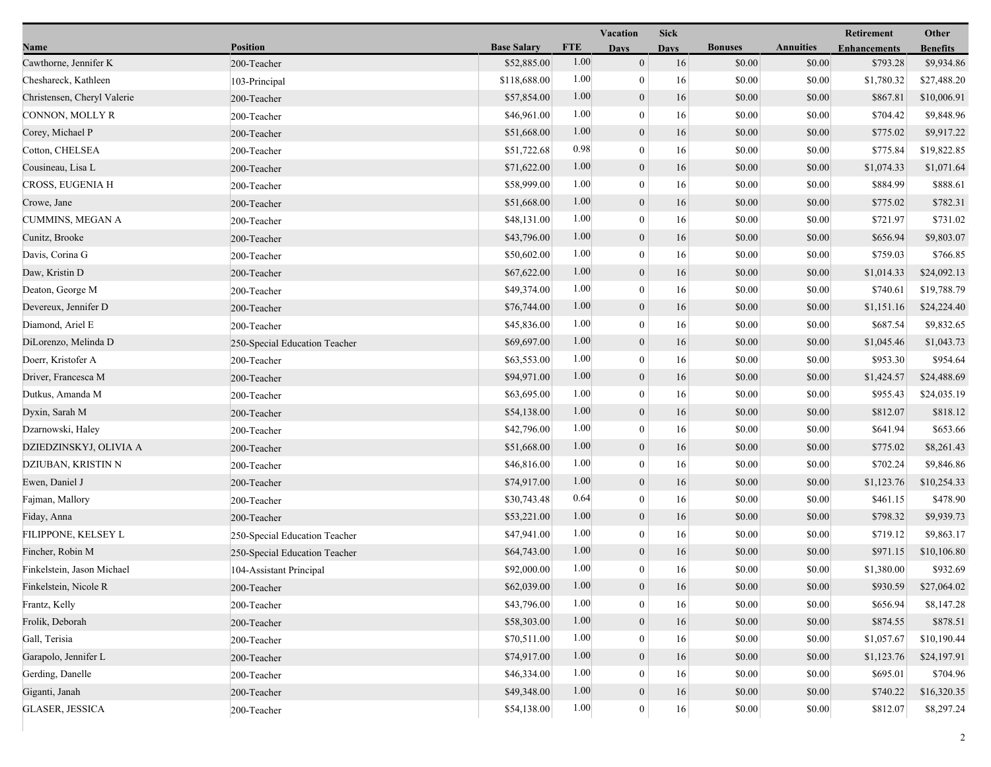|                             |                               |                    | Vacation   |                  | <b>Sick</b> |                |                  | Retirement          | Other           |
|-----------------------------|-------------------------------|--------------------|------------|------------------|-------------|----------------|------------------|---------------------|-----------------|
| Name                        | <b>Position</b>               | <b>Base Salary</b> | <b>FTE</b> | <b>Days</b>      | <b>Days</b> | <b>Bonuses</b> | <b>Annuities</b> | <b>Enhancements</b> | <b>Benefits</b> |
| Cawthorne, Jennifer K       | 200-Teacher                   | \$52,885.00        | 1.00       | $\boldsymbol{0}$ | 16          | \$0.00         | \$0.00           | \$793.28            | \$9,934.86      |
| Cheshareck, Kathleen        | 103-Principal                 | \$118,688.00       | 1.00       | $\boldsymbol{0}$ | 16          | \$0.00         | \$0.00           | \$1,780.32          | \$27,488.20     |
| Christensen, Cheryl Valerie | 200-Teacher                   | \$57,854.00        | 1.00       | $\boldsymbol{0}$ | 16          | \$0.00         | \$0.00           | \$867.81            | \$10,006.91     |
| CONNON, MOLLY R             | 200-Teacher                   | \$46,961.00        | 1.00       | $\mathbf{0}$     | 16          | \$0.00         | \$0.00           | \$704.42            | \$9,848.96      |
| Corey, Michael P            | 200-Teacher                   | \$51,668.00        | 1.00       | $\boldsymbol{0}$ | 16          | \$0.00         | \$0.00           | \$775.02            | \$9,917.22      |
| Cotton, CHELSEA             | 200-Teacher                   | \$51,722.68        | 0.98       | $\boldsymbol{0}$ | 16          | \$0.00         | \$0.00           | \$775.84            | \$19,822.85     |
| Cousineau, Lisa L           | 200-Teacher                   | \$71,622.00        | 1.00       | $\mathbf{0}$     | 16          | \$0.00         | \$0.00           | \$1,074.33          | \$1,071.64      |
| CROSS, EUGENIA H            | 200-Teacher                   | \$58,999.00        | 1.00       | $\bf{0}$         | 16          | \$0.00         | \$0.00           | \$884.99            | \$888.61        |
| Crowe, Jane                 | 200-Teacher                   | \$51,668.00        | 1.00       | $\boldsymbol{0}$ | 16          | \$0.00         | \$0.00           | \$775.02            | \$782.31        |
| <b>CUMMINS, MEGAN A</b>     | 200-Teacher                   | \$48,131.00        | 1.00       | $\mathbf{0}$     | 16          | \$0.00         | \$0.00           | \$721.97            | \$731.02        |
| Cunitz, Brooke              | 200-Teacher                   | \$43,796.00        | 1.00       | $\boldsymbol{0}$ | 16          | \$0.00         | \$0.00           | \$656.94            | \$9,803.07      |
| Davis, Corina G             | 200-Teacher                   | \$50,602.00        | 1.00       | $\boldsymbol{0}$ | 16          | \$0.00         | \$0.00           | \$759.03            | \$766.85        |
| Daw, Kristin D              | 200-Teacher                   | \$67,622.00        | 1.00       | $\mathbf{0}$     | 16          | \$0.00         | \$0.00           | \$1,014.33          | \$24,092.13     |
| Deaton, George M            | 200-Teacher                   | \$49,374.00        | 1.00       | $\bf{0}$         | 16          | \$0.00         | \$0.00           | \$740.61            | \$19,788.79     |
| Devereux, Jennifer D        | 200-Teacher                   | \$76,744.00        | 1.00       | $\boldsymbol{0}$ | 16          | \$0.00         | \$0.00           | \$1,151.16          | \$24,224.40     |
| Diamond, Ariel E            | 200-Teacher                   | \$45,836.00        | 1.00       | $\mathbf{0}$     | 16          | \$0.00         | \$0.00           | \$687.54            | \$9,832.65      |
| DiLorenzo, Melinda D        | 250-Special Education Teacher | \$69,697.00        | 1.00       | $\boldsymbol{0}$ | 16          | \$0.00         | \$0.00           | \$1,045.46          | \$1,043.73      |
| Doerr, Kristofer A          | 200-Teacher                   | \$63,553.00        | 1.00       | $\boldsymbol{0}$ | 16          | \$0.00         | \$0.00           | \$953.30            | \$954.64        |
| Driver, Francesca M         | 200-Teacher                   | \$94,971.00        | 1.00       | $\mathbf{0}$     | 16          | \$0.00         | \$0.00           | \$1,424.57          | \$24,488.69     |
| Dutkus, Amanda M            | 200-Teacher                   | \$63,695.00        | 1.00       | $\bf{0}$         | 16          | \$0.00         | \$0.00           | \$955.43            | \$24,035.19     |
| Dyxin, Sarah M              | 200-Teacher                   | \$54,138.00        | 1.00       | $\boldsymbol{0}$ | 16          | \$0.00         | \$0.00           | \$812.07            | \$818.12        |
| Dzarnowski, Haley           | 200-Teacher                   | \$42,796.00        | 1.00       | $\mathbf{0}$     | 16          | \$0.00         | \$0.00           | \$641.94            | \$653.66        |
| DZIEDZINSKYJ, OLIVIA A      | 200-Teacher                   | \$51,668.00        | 1.00       | $\boldsymbol{0}$ | 16          | \$0.00         | \$0.00           | \$775.02            | \$8,261.43      |
| DZIUBAN, KRISTIN N          | 200-Teacher                   | \$46,816.00        | 1.00       | $\boldsymbol{0}$ | 16          | \$0.00         | \$0.00           | \$702.24            | \$9,846.86      |
| Ewen, Daniel J              | 200-Teacher                   | \$74,917.00        | 1.00       | $\mathbf{0}$     | 16          | \$0.00         | \$0.00           | \$1,123.76          | \$10,254.33     |
| Fajman, Mallory             | 200-Teacher                   | \$30,743.48        | 0.64       | $\bf{0}$         | 16          | \$0.00         | \$0.00           | \$461.15            | \$478.90        |
| Fiday, Anna                 | 200-Teacher                   | \$53,221.00        | 1.00       | $\boldsymbol{0}$ | 16          | \$0.00         | \$0.00           | \$798.32            | \$9,939.73      |
| FILIPPONE, KELSEY L         | 250-Special Education Teacher | \$47,941.00        | 1.00       | $\boldsymbol{0}$ | 16          | \$0.00         | \$0.00           | \$719.12            | \$9,863.17      |
| Fincher, Robin M            | 250-Special Education Teacher | \$64,743.00        | 1.00       | $\mathbf{0}$     | 16          | \$0.00         | \$0.00           | \$971.15            | \$10,106.80     |
| Finkelstein, Jason Michael  | 104-Assistant Principal       | \$92,000.00        | 1.00       | $\boldsymbol{0}$ | 16          | \$0.00         | \$0.00           | \$1,380.00          | \$932.69        |
| Finkelstein, Nicole R       | 200-Teacher                   | \$62,039.00        | $1.00\,$   | $\boldsymbol{0}$ | 16          | \$0.00         | \$0.00           | \$930.59            | \$27,064.02     |
| Frantz, Kelly               | 200-Teacher                   | \$43,796.00        | 1.00       | 0                | 16          | \$0.00         | \$0.00           | \$656.94            | \$8,147.28      |
| Frolik, Deborah             | 200-Teacher                   | \$58,303.00        | 1.00       | $\mathbf{0}$     | 16          | \$0.00         | \$0.00           | \$874.55            | \$878.51        |
| Gall, Terisia               | 200-Teacher                   | \$70,511.00        | 1.00       | 0                | 16          | \$0.00         | \$0.00           | \$1,057.67          | \$10,190.44     |
| Garapolo, Jennifer L        | 200-Teacher                   | \$74,917.00        | 1.00       | $\mathbf{0}$     | 16          | \$0.00         | \$0.00           | \$1,123.76          | \$24,197.91     |
| Gerding, Danelle            | 200-Teacher                   | \$46,334.00        | 1.00       | 0                | 16          | \$0.00         | \$0.00           | \$695.01            | \$704.96        |
| Giganti, Janah              | 200-Teacher                   | \$49,348.00        | 1.00       | $\boldsymbol{0}$ | $16\,$      | \$0.00         | \$0.00           | \$740.22            | \$16,320.35     |
| <b>GLASER, JESSICA</b>      | 200-Teacher                   | \$54,138.00        | 1.00       | $\boldsymbol{0}$ | 16          | \$0.00         | \$0.00           | \$812.07            | \$8,297.24      |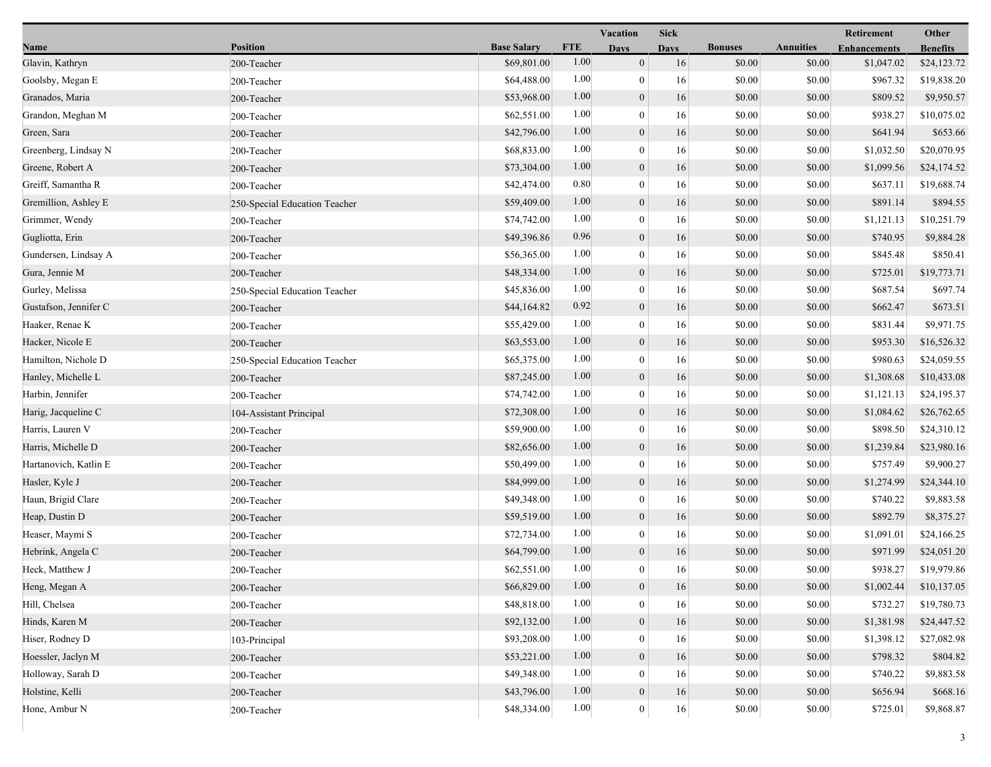|                       |                               |                    | <b>Vacation</b> |                  | <b>Sick</b> |                |                  | Retirement          | Other           |
|-----------------------|-------------------------------|--------------------|-----------------|------------------|-------------|----------------|------------------|---------------------|-----------------|
| Name                  | <b>Position</b>               | <b>Base Salary</b> | <b>FTE</b>      | <b>Days</b>      | <b>Days</b> | <b>Bonuses</b> | <b>Annuities</b> | <b>Enhancements</b> | <b>Benefits</b> |
| Glavin, Kathryn       | 200-Teacher                   | \$69,801.00        | 1.00            | $\boldsymbol{0}$ | 16          | \$0.00         | \$0.00           | \$1,047.02          | \$24,123.72     |
| Goolsby, Megan E      | 200-Teacher                   | \$64,488.00        | 1.00            | $\boldsymbol{0}$ | 16          | \$0.00         | \$0.00           | \$967.32            | \$19,838.20     |
| Granados, Maria       | 200-Teacher                   | \$53,968.00        | 1.00            | $\boldsymbol{0}$ | 16          | \$0.00         | \$0.00           | \$809.52            | \$9,950.57      |
| Grandon, Meghan M     | 200-Teacher                   | \$62,551.00        | 1.00            | $\mathbf{0}$     | 16          | \$0.00         | \$0.00           | \$938.27            | \$10,075.02     |
| Green, Sara           | 200-Teacher                   | \$42,796.00        | 1.00            | $\boldsymbol{0}$ | 16          | \$0.00         | \$0.00           | \$641.94            | \$653.66        |
| Greenberg, Lindsay N  | 200-Teacher                   | \$68,833.00        | 1.00            | $\boldsymbol{0}$ | 16          | \$0.00         | \$0.00           | \$1,032.50          | \$20,070.95     |
| Greene, Robert A      | 200-Teacher                   | \$73,304.00        | 1.00            | $\mathbf{0}$     | 16          | \$0.00         | \$0.00           | \$1,099.56          | \$24,174.52     |
| Greiff, Samantha R    | 200-Teacher                   | \$42,474.00        | 0.80            | $\bf{0}$         | 16          | \$0.00         | \$0.00           | \$637.11            | \$19,688.74     |
| Gremillion, Ashley E  | 250-Special Education Teacher | \$59,409.00        | 1.00            | $\boldsymbol{0}$ | 16          | \$0.00         | \$0.00           | \$891.14            | \$894.55        |
| Grimmer, Wendy        | 200-Teacher                   | \$74,742.00        | 1.00            | $\boldsymbol{0}$ | 16          | \$0.00         | \$0.00           | \$1,121.13          | \$10,251.79     |
| Gugliotta, Erin       | 200-Teacher                   | \$49,396.86        | 0.96            | $\boldsymbol{0}$ | 16          | \$0.00         | \$0.00           | \$740.95            | \$9,884.28      |
| Gundersen, Lindsay A  | 200-Teacher                   | \$56,365.00        | 1.00            | $\boldsymbol{0}$ | 16          | \$0.00         | \$0.00           | \$845.48            | \$850.41        |
| Gura, Jennie M        | 200-Teacher                   | \$48,334.00        | 1.00            | $\mathbf{0}$     | 16          | \$0.00         | \$0.00           | \$725.01            | \$19,773.71     |
| Gurley, Melissa       | 250-Special Education Teacher | \$45,836.00        | 1.00            | $\bf{0}$         | 16          | \$0.00         | \$0.00           | \$687.54            | \$697.74        |
| Gustafson, Jennifer C | 200-Teacher                   | \$44,164.82        | 0.92            | $\boldsymbol{0}$ | 16          | \$0.00         | \$0.00           | \$662.47            | \$673.51        |
| Haaker, Renae K       | 200-Teacher                   | \$55,429.00        | 1.00            | $\mathbf{0}$     | 16          | \$0.00         | \$0.00           | \$831.44            | \$9,971.75      |
| Hacker, Nicole E      | 200-Teacher                   | \$63,553.00        | 1.00            | $\boldsymbol{0}$ | 16          | \$0.00         | \$0.00           | \$953.30            | \$16,526.32     |
| Hamilton, Nichole D   | 250-Special Education Teacher | \$65,375.00        | 1.00            | $\boldsymbol{0}$ | 16          | \$0.00         | \$0.00           | \$980.63            | \$24,059.55     |
| Hanley, Michelle L    | 200-Teacher                   | \$87,245.00        | 1.00            | $\mathbf{0}$     | 16          | \$0.00         | \$0.00           | \$1,308.68          | \$10,433.08     |
| Harbin, Jennifer      | 200-Teacher                   | \$74,742.00        | 1.00            | $\bf{0}$         | 16          | \$0.00         | \$0.00           | \$1,121.13          | \$24,195.37     |
| Harig, Jacqueline C   | 104-Assistant Principal       | \$72,308.00        | 1.00            | $\boldsymbol{0}$ | 16          | \$0.00         | \$0.00           | \$1,084.62          | \$26,762.65     |
| Harris, Lauren V      | 200-Teacher                   | \$59,900.00        | 1.00            | $\mathbf{0}$     | 16          | \$0.00         | \$0.00           | \$898.50            | \$24,310.12     |
| Harris, Michelle D    | 200-Teacher                   | \$82,656.00        | 1.00            | $\mathbf{0}$     | 16          | \$0.00         | \$0.00           | \$1,239.84          | \$23,980.16     |
| Hartanovich, Katlin E | 200-Teacher                   | \$50,499.00        | 1.00            | $\boldsymbol{0}$ | 16          | \$0.00         | \$0.00           | \$757.49            | \$9,900.27      |
| Hasler, Kyle J        | 200-Teacher                   | \$84,999.00        | 1.00            | $\mathbf{0}$     | 16          | \$0.00         | \$0.00           | \$1,274.99          | \$24,344.10     |
| Haun, Brigid Clare    | 200-Teacher                   | \$49,348.00        | 1.00            | $\bf{0}$         | 16          | \$0.00         | \$0.00           | \$740.22            | \$9,883.58      |
| Heap, Dustin D        | 200-Teacher                   | \$59,519.00        | 1.00            | $\boldsymbol{0}$ | 16          | \$0.00         | \$0.00           | \$892.79            | \$8,375.27      |
| Heaser, Maymi S       | 200-Teacher                   | \$72,734.00        | 1.00            | $\bf{0}$         | 16          | \$0.00         | \$0.00           | \$1,091.01          | \$24,166.25     |
| Hebrink, Angela C     | 200-Teacher                   | \$64,799.00        | 1.00            | $\mathbf{0}$     | 16          | \$0.00         | \$0.00           | \$971.99            | \$24,051.20     |
| Heck, Matthew J       | 200-Teacher                   | \$62,551.00        | 1.00            | $\mathbf{0}$     | 16          | \$0.00         | \$0.00           | \$938.27            | \$19,979.86     |
| Heng, Megan A         | 200-Teacher                   | \$66,829.00        | $1.00\,$        | $\boldsymbol{0}$ | 16          | \$0.00         | \$0.00           | \$1,002.44          | \$10,137.05     |
| Hill, Chelsea         | 200-Teacher                   | \$48,818.00        | 1.00            | 0                | 16          | \$0.00         | \$0.00           | \$732.27            | \$19,780.73     |
| Hinds, Karen M        | 200-Teacher                   | \$92,132.00        | 1.00            | $\mathbf{0}$     | 16          | \$0.00         | \$0.00           | \$1,381.98          | \$24,447.52     |
| Hiser, Rodney D       | 103-Principal                 | \$93,208.00        | 1.00            | 0                | 16          | \$0.00         | \$0.00           | \$1,398.12          | \$27,082.98     |
| Hoessler, Jaclyn M    | 200-Teacher                   | \$53,221.00        | 1.00            | $\mathbf{0}$     | 16          | \$0.00         | \$0.00           | \$798.32            | \$804.82        |
| Holloway, Sarah D     | 200-Teacher                   | \$49,348.00        | 1.00            | 0                | 16          | \$0.00         | \$0.00           | \$740.22            | \$9,883.58      |
| Holstine, Kelli       | 200-Teacher                   | \$43,796.00        | 1.00            | $\boldsymbol{0}$ | $16\,$      | \$0.00         | \$0.00           | \$656.94            | \$668.16        |
| Hone, Ambur N         | 200-Teacher                   | \$48,334.00        | 1.00            | $\boldsymbol{0}$ | 16          | \$0.00         | \$0.00           | \$725.01            | \$9,868.87      |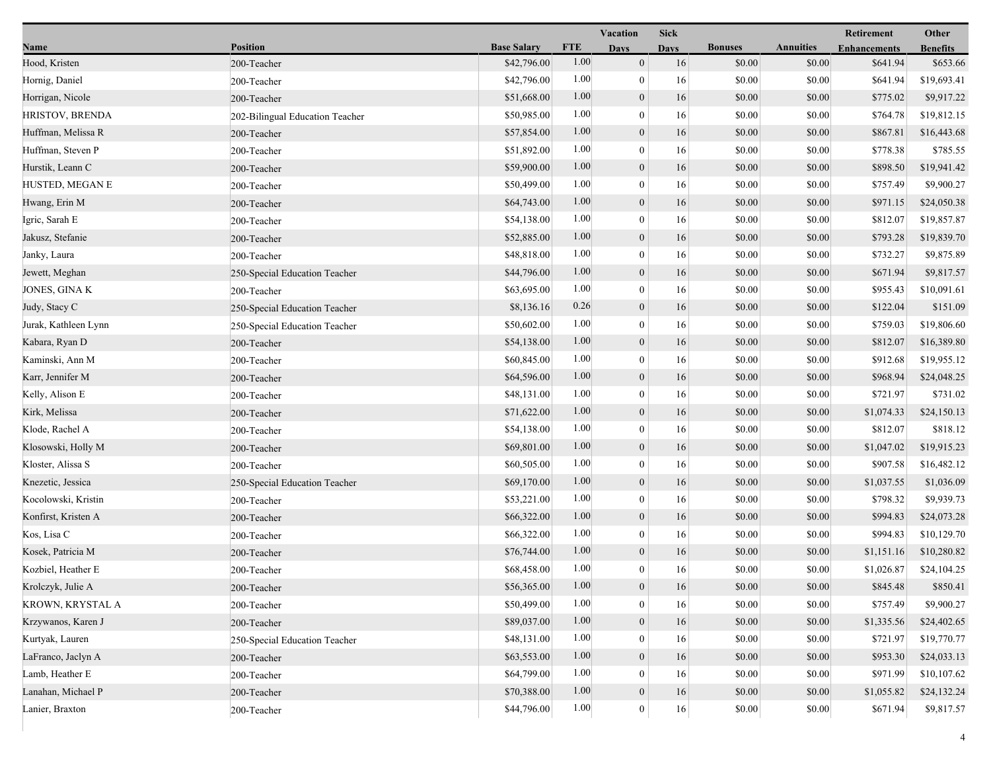|                      |                                 |                    |            | Vacation         | <b>Sick</b> |                |                  | Retirement          | Other           |
|----------------------|---------------------------------|--------------------|------------|------------------|-------------|----------------|------------------|---------------------|-----------------|
| Name                 | <b>Position</b>                 | <b>Base Salary</b> | <b>FTE</b> | <b>Days</b>      | <b>Days</b> | <b>Bonuses</b> | <b>Annuities</b> | <b>Enhancements</b> | <b>Benefits</b> |
| Hood, Kristen        | 200-Teacher                     | \$42,796.00        | 1.00       | $\mathbf{0}$     | 16          | \$0.00         | \$0.00           | \$641.94            | \$653.66        |
| Hornig, Daniel       | 200-Teacher                     | \$42,796.00        | 1.00       | $\overline{0}$   | 16          | \$0.00         | \$0.00           | \$641.94            | \$19,693.41     |
| Horrigan, Nicole     | 200-Teacher                     | \$51,668.00        | 1.00       | $\boldsymbol{0}$ | 16          | \$0.00         | \$0.00           | \$775.02            | \$9,917.22      |
| HRISTOV, BRENDA      | 202-Bilingual Education Teacher | \$50,985.00        | 1.00       | $\overline{0}$   | 16          | \$0.00         | \$0.00           | \$764.78            | \$19,812.15     |
| Huffman, Melissa R   | 200-Teacher                     | \$57,854.00        | 1.00       | $\boldsymbol{0}$ | 16          | \$0.00         | \$0.00           | \$867.81            | \$16,443.68     |
| Huffman, Steven P    | 200-Teacher                     | \$51,892.00        | 1.00       | $\boldsymbol{0}$ | 16          | \$0.00         | \$0.00           | \$778.38            | \$785.55        |
| Hurstik, Leann C     | 200-Teacher                     | \$59,900.00        | 1.00       | $\mathbf{0}$     | 16          | \$0.00         | \$0.00           | \$898.50            | \$19,941.42     |
| HUSTED, MEGAN E      | 200-Teacher                     | \$50,499.00        | 1.00       | $\boldsymbol{0}$ | 16          | \$0.00         | \$0.00           | \$757.49            | \$9,900.27      |
| Hwang, Erin M        | 200-Teacher                     | \$64,743.00        | 1.00       | $\boldsymbol{0}$ | 16          | \$0.00         | \$0.00           | \$971.15            | \$24,050.38     |
| Igric, Sarah E       | 200-Teacher                     | \$54,138.00        | 1.00       | $\overline{0}$   | 16          | \$0.00         | \$0.00           | \$812.07            | \$19,857.87     |
| Jakusz, Stefanie     | 200-Teacher                     | \$52,885.00        | 1.00       | $\mathbf{0}$     | 16          | \$0.00         | \$0.00           | \$793.28            | \$19,839.70     |
| Janky, Laura         | 200-Teacher                     | \$48,818.00        | 1.00       | $\boldsymbol{0}$ | 16          | \$0.00         | \$0.00           | \$732.27            | \$9,875.89      |
| Jewett, Meghan       | 250-Special Education Teacher   | \$44,796.00        | 1.00       | $\boldsymbol{0}$ | 16          | \$0.00         | \$0.00           | \$671.94            | \$9,817.57      |
| JONES, GINA K        | 200-Teacher                     | \$63,695.00        | 1.00       | $\mathbf{0}$     | 16          | \$0.00         | \$0.00           | \$955.43            | \$10,091.61     |
| Judy, Stacy C        | 250-Special Education Teacher   | \$8,136.16         | 0.26       | $\boldsymbol{0}$ | 16          | \$0.00         | \$0.00           | \$122.04            | \$151.09        |
| Jurak, Kathleen Lynn | 250-Special Education Teacher   | \$50,602.00        | 1.00       | $\overline{0}$   | 16          | \$0.00         | \$0.00           | \$759.03            | \$19,806.60     |
| Kabara, Ryan D       | 200-Teacher                     | \$54,138.00        | 1.00       | $\boldsymbol{0}$ | 16          | \$0.00         | \$0.00           | \$812.07            | \$16,389.80     |
| Kaminski, Ann M      | 200-Teacher                     | \$60,845.00        | 1.00       | $\boldsymbol{0}$ | 16          | \$0.00         | \$0.00           | \$912.68            | \$19,955.12     |
| Karr, Jennifer M     | 200-Teacher                     | \$64,596.00        | 1.00       | $\mathbf{0}$     | 16          | \$0.00         | \$0.00           | \$968.94            | \$24,048.25     |
| Kelly, Alison E      | 200-Teacher                     | \$48,131.00        | 1.00       | $\mathbf{0}$     | 16          | \$0.00         | \$0.00           | \$721.97            | \$731.02        |
| Kirk, Melissa        | 200-Teacher                     | \$71,622.00        | 1.00       | $\boldsymbol{0}$ | 16          | \$0.00         | \$0.00           | \$1,074.33          | \$24,150.13     |
| Klode, Rachel A      | 200-Teacher                     | \$54,138.00        | 1.00       | $\overline{0}$   | 16          | \$0.00         | \$0.00           | \$812.07            | \$818.12        |
| Klosowski, Holly M   | 200-Teacher                     | \$69,801.00        | 1.00       | $\boldsymbol{0}$ | 16          | \$0.00         | \$0.00           | \$1,047.02          | \$19,915.23     |
| Kloster, Alissa S    | 200-Teacher                     | \$60,505.00        | 1.00       | $\boldsymbol{0}$ | 16          | \$0.00         | \$0.00           | \$907.58            | \$16,482.12     |
| Knezetic, Jessica    | 250-Special Education Teacher   | \$69,170.00        | 1.00       | $\mathbf{0}$     | 16          | \$0.00         | \$0.00           | \$1,037.55          | \$1,036.09      |
| Kocolowski, Kristin  | 200-Teacher                     | \$53,221.00        | 1.00       | $\overline{0}$   | 16          | \$0.00         | \$0.00           | \$798.32            | \$9,939.73      |
| Konfirst, Kristen A  | 200-Teacher                     | \$66,322.00        | 1.00       | $\boldsymbol{0}$ | 16          | \$0.00         | \$0.00           | \$994.83            | \$24,073.28     |
| Kos, Lisa C          | 200-Teacher                     | \$66,322.00        | 1.00       | $\overline{0}$   | 16          | \$0.00         | \$0.00           | \$994.83            | \$10,129.70     |
| Kosek, Patricia M    | 200-Teacher                     | \$76,744.00        | 1.00       | $\mathbf{0}$     | 16          | \$0.00         | \$0.00           | \$1,151.16          | \$10,280.82     |
| Kozbiel, Heather E   | 200-Teacher                     | \$68,458.00        | 1.00       | $\overline{0}$   | 16          | \$0.00         | \$0.00           | \$1,026.87          | \$24,104.25     |
| Krolczyk, Julie A    | 200-Teacher                     | \$56,365.00        | 1.00       | $\theta$         | 16          | \$0.00         | \$0.00           | \$845.48            | \$850.41        |
| KROWN, KRYSTAL A     | 200-Teacher                     | \$50,499.00        | 1.00       | $\overline{0}$   | 16          | \$0.00         | \$0.00           | \$757.49            | \$9,900.27      |
| Krzywanos, Karen J   | 200-Teacher                     | \$89,037.00        | 1.00       | $\mathbf{0}$     | 16          | \$0.00         | \$0.00           | \$1,335.56          | \$24,402.65     |
| Kurtyak, Lauren      | 250-Special Education Teacher   | \$48,131.00        | 1.00       | $\overline{0}$   | 16          | \$0.00         | \$0.00           | \$721.97            | \$19,770.77     |
| LaFranco, Jaclyn A   | 200-Teacher                     | \$63,553.00        | 1.00       | $\mathbf{0}$     | 16          | \$0.00         | \$0.00           | \$953.30            | \$24,033.13     |
| Lamb, Heather E      | 200-Teacher                     | \$64,799.00        | 1.00       | $\overline{0}$   | 16          | \$0.00         | \$0.00           | \$971.99            | \$10,107.62     |
| Lanahan, Michael P   | 200-Teacher                     | \$70,388.00        | 1.00       | $\boldsymbol{0}$ | 16          | \$0.00         | \$0.00           | \$1,055.82          | \$24,132.24     |
| Lanier, Braxton      | 200-Teacher                     | \$44,796.00        | 1.00       | 0                | $16\,$      | \$0.00         | \$0.00           | \$671.94            | \$9,817.57      |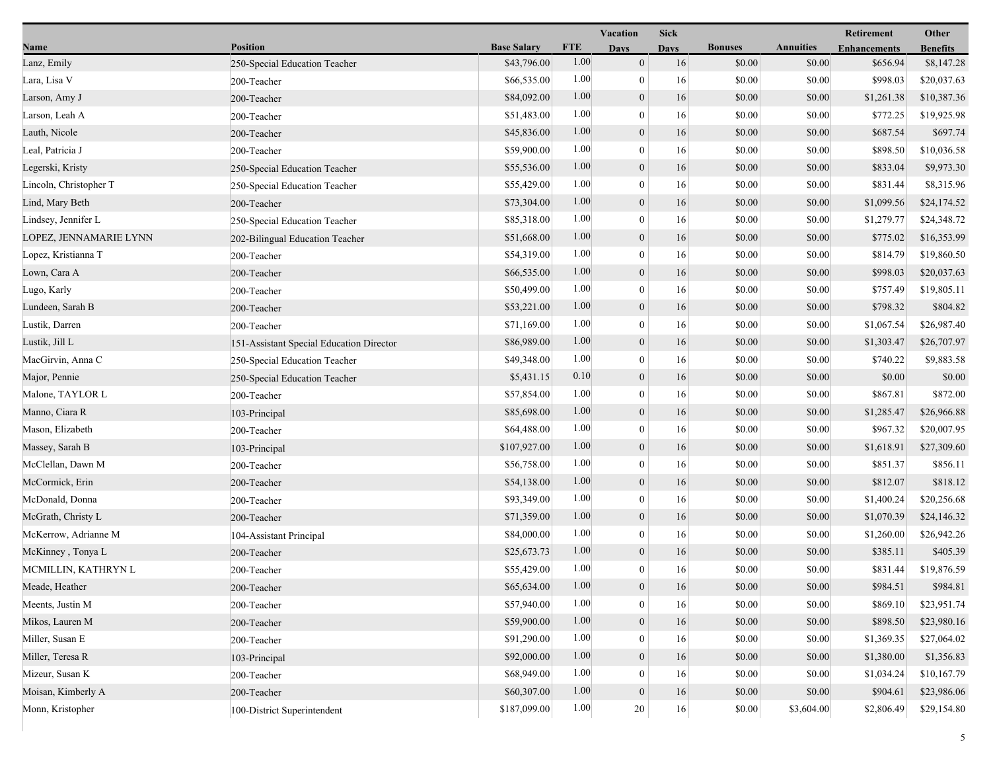|                        |                                          |                    |            | Vacation         | <b>Sick</b> |                |                  | Retirement          | Other           |
|------------------------|------------------------------------------|--------------------|------------|------------------|-------------|----------------|------------------|---------------------|-----------------|
| Name                   | <b>Position</b>                          | <b>Base Salary</b> | <b>FTE</b> | <b>Days</b>      | <b>Days</b> | <b>Bonuses</b> | <b>Annuities</b> | <b>Enhancements</b> | <b>Benefits</b> |
| Lanz, Emily            | 250-Special Education Teacher            | \$43,796.00        | 1.00       | $\mathbf{0}$     | 16          | \$0.00         | \$0.00           | \$656.94            | \$8,147.28      |
| Lara, Lisa V           | 200-Teacher                              | \$66,535.00        | 1.00       | $\mathbf{0}$     | 16          | \$0.00         | \$0.00           | \$998.03            | \$20,037.63     |
| Larson, Amy J          | 200-Teacher                              | \$84,092.00        | 1.00       | $\boldsymbol{0}$ | 16          | \$0.00         | \$0.00           | \$1,261.38          | \$10,387.36     |
| Larson, Leah A         | 200-Teacher                              | \$51,483.00        | 1.00       | $\mathbf{0}$     | 16          | \$0.00         | \$0.00           | \$772.25            | \$19,925.98     |
| Lauth, Nicole          | 200-Teacher                              | \$45,836.00        | 1.00       | $\overline{0}$   | 16          | \$0.00         | \$0.00           | \$687.54            | \$697.74        |
| Leal, Patricia J       | 200-Teacher                              | \$59,900.00        | 1.00       | $\bf{0}$         | 16          | \$0.00         | \$0.00           | \$898.50            | \$10,036.58     |
| Legerski, Kristy       | 250-Special Education Teacher            | \$55,536.00        | 1.00       | $\overline{0}$   | 16          | \$0.00         | \$0.00           | \$833.04            | \$9,973.30      |
| Lincoln, Christopher T | 250-Special Education Teacher            | \$55,429.00        | 1.00       | $\bf{0}$         | 16          | \$0.00         | \$0.00           | \$831.44            | \$8,315.96      |
| Lind, Mary Beth        | 200-Teacher                              | \$73,304.00        | 1.00       | $\boldsymbol{0}$ | 16          | \$0.00         | \$0.00           | \$1,099.56          | \$24,174.52     |
| Lindsey, Jennifer L    | 250-Special Education Teacher            | \$85,318.00        | 1.00       | $\mathbf{0}$     | 16          | \$0.00         | \$0.00           | \$1,279.77          | \$24,348.72     |
| LOPEZ, JENNAMARIE LYNN | 202-Bilingual Education Teacher          | \$51,668.00        | 1.00       | $\overline{0}$   | 16          | \$0.00         | \$0.00           | \$775.02            | \$16,353.99     |
| Lopez, Kristianna T    | 200-Teacher                              | \$54,319.00        | 1.00       | $\bf{0}$         | 16          | \$0.00         | \$0.00           | \$814.79            | \$19,860.50     |
| Lown, Cara A           | 200-Teacher                              | \$66,535.00        | 1.00       | $\overline{0}$   | 16          | \$0.00         | \$0.00           | \$998.03            | \$20,037.63     |
| Lugo, Karly            | 200-Teacher                              | \$50,499.00        | 1.00       | $\mathbf{0}$     | 16          | \$0.00         | \$0.00           | \$757.49            | \$19,805.11     |
| Lundeen, Sarah B       | 200-Teacher                              | \$53,221.00        | 1.00       | $\boldsymbol{0}$ | 16          | \$0.00         | \$0.00           | \$798.32            | \$804.82        |
| Lustik, Darren         | 200-Teacher                              | \$71,169.00        | 1.00       | $\mathbf{0}$     | 16          | \$0.00         | \$0.00           | \$1,067.54          | \$26,987.40     |
| Lustik, Jill L         | 151-Assistant Special Education Director | \$86,989.00        | 1.00       | $\overline{0}$   | 16          | \$0.00         | \$0.00           | \$1,303.47          | \$26,707.97     |
| MacGirvin, Anna C      | 250-Special Education Teacher            | \$49,348.00        | 1.00       | $\boldsymbol{0}$ | 16          | \$0.00         | \$0.00           | \$740.22            | \$9,883.58      |
| Major, Pennie          | 250-Special Education Teacher            | \$5,431.15         | 0.10       | $\mathbf{0}$     | 16          | \$0.00         | \$0.00           | \$0.00              | \$0.00          |
| Malone, TAYLOR L       | 200-Teacher                              | \$57,854.00        | 1.00       | $\mathbf{0}$     | 16          | \$0.00         | \$0.00           | \$867.81            | \$872.00        |
| Manno, Ciara R         | 103-Principal                            | \$85,698.00        | 1.00       | $\boldsymbol{0}$ | 16          | \$0.00         | \$0.00           | \$1,285.47          | \$26,966.88     |
| Mason, Elizabeth       | 200-Teacher                              | \$64,488.00        | 1.00       | $\overline{0}$   | 16          | \$0.00         | \$0.00           | \$967.32            | \$20,007.95     |
| Massey, Sarah B        | 103-Principal                            | \$107,927.00       | 1.00       | $\boldsymbol{0}$ | 16          | \$0.00         | \$0.00           | \$1,618.91          | \$27,309.60     |
| McClellan, Dawn M      | 200-Teacher                              | \$56,758.00        | 1.00       | $\boldsymbol{0}$ | 16          | \$0.00         | \$0.00           | \$851.37            | \$856.11        |
| McCormick, Erin        | 200-Teacher                              | \$54,138.00        | 1.00       | $\mathbf{0}$     | 16          | \$0.00         | \$0.00           | \$812.07            | \$818.12        |
| McDonald, Donna        | 200-Teacher                              | \$93,349.00        | 1.00       | $\overline{0}$   | 16          | \$0.00         | \$0.00           | \$1,400.24          | \$20,256.68     |
| McGrath, Christy L     | 200-Teacher                              | \$71,359.00        | 1.00       | $\mathbf{0}$     | 16          | \$0.00         | \$0.00           | \$1,070.39          | \$24,146.32     |
| McKerrow, Adrianne M   | 104-Assistant Principal                  | \$84,000.00        | 1.00       | $\overline{0}$   | 16          | \$0.00         | \$0.00           | \$1,260.00          | \$26,942.26     |
| McKinney, Tonya L      | 200-Teacher                              | \$25,673.73        | 1.00       | $\mathbf{0}$     | 16          | \$0.00         | \$0.00           | \$385.11            | \$405.39        |
| MCMILLIN, KATHRYN L    | 200-Teacher                              | \$55,429.00        | 1.00       | $\mathbf{0}$     | 16          | \$0.00         | \$0.00           | \$831.44            | \$19,876.59     |
| Meade, Heather         | 200-Teacher                              | \$65,634.00        | $1.00$     | $\boldsymbol{0}$ | 16          | \$0.00         | \$0.00           | \$984.51            | \$984.81        |
| Meents, Justin M       | 200-Teacher                              | \$57,940.00        | 1.00       | $\boldsymbol{0}$ | 16          | \$0.00         | \$0.00           | \$869.10            | \$23,951.74     |
| Mikos, Lauren M        | 200-Teacher                              | \$59,900.00        | 1.00       | $\boldsymbol{0}$ | 16          | \$0.00         | \$0.00           | \$898.50            | \$23,980.16     |
| Miller, Susan E        | 200-Teacher                              | \$91,290.00        | 1.00       | $\overline{0}$   | 16          | \$0.00         | \$0.00           | \$1,369.35          | \$27,064.02     |
| Miller, Teresa R       | 103-Principal                            | \$92,000.00        | 1.00       | $\overline{0}$   | 16          | \$0.00         | \$0.00           | \$1,380.00          | \$1,356.83      |
| Mizeur, Susan K        | 200-Teacher                              | \$68,949.00        | 1.00       | $\overline{0}$   | 16          | \$0.00         | \$0.00           | \$1,034.24          | \$10,167.79     |
| Moisan, Kimberly A     | 200-Teacher                              | \$60,307.00        | 1.00       | $\mathbf{0}$     | 16          | \$0.00         | \$0.00           | \$904.61            | \$23,986.06     |
| Monn, Kristopher       | 100-District Superintendent              | \$187,099.00       | 1.00       | $20\,$           | 16          | \$0.00         | \$3,604.00       | \$2,806.49          | \$29,154.80     |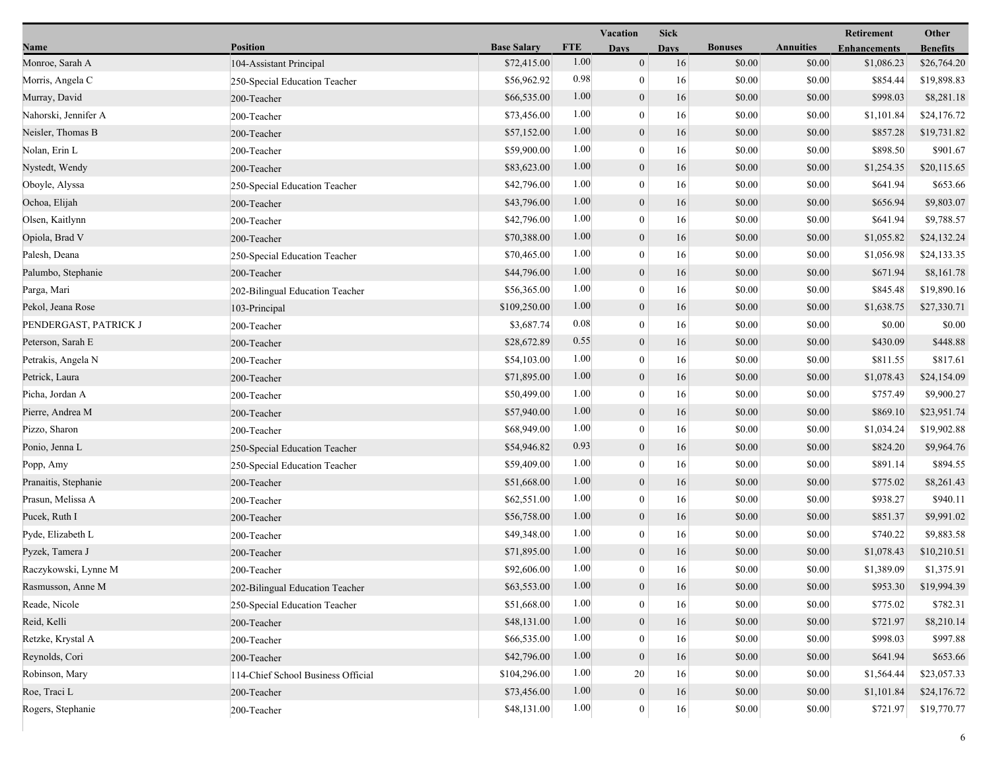|                       |                                    |                    |            | Vacation         |             |                |                  | Retirement          | Other           |
|-----------------------|------------------------------------|--------------------|------------|------------------|-------------|----------------|------------------|---------------------|-----------------|
| Name                  | <b>Position</b>                    | <b>Base Salary</b> | <b>FTE</b> | <b>Days</b>      | <b>Days</b> | <b>Bonuses</b> | <b>Annuities</b> | <b>Enhancements</b> | <b>Benefits</b> |
| Monroe, Sarah A       | 104-Assistant Principal            | \$72,415.00        | 1.00       | $\mathbf{0}$     | 16          | \$0.00         | \$0.00           | \$1,086.23          | \$26,764.20     |
| Morris, Angela C      | 250-Special Education Teacher      | \$56,962.92        | 0.98       | $\overline{0}$   | 16          | \$0.00         | \$0.00           | \$854.44            | \$19,898.83     |
| Murray, David         | 200-Teacher                        | \$66,535.00        | 1.00       | $\boldsymbol{0}$ | 16          | \$0.00         | \$0.00           | \$998.03            | \$8,281.18      |
| Nahorski, Jennifer A  | 200-Teacher                        | \$73,456.00        | 1.00       | $\mathbf{0}$     | 16          | \$0.00         | \$0.00           | \$1,101.84          | \$24,176.72     |
| Neisler, Thomas B     | 200-Teacher                        | \$57,152.00        | 1.00       | $\mathbf{0}$     | 16          | \$0.00         | \$0.00           | \$857.28            | \$19,731.82     |
| Nolan, Erin L         | 200-Teacher                        | \$59,900.00        | 1.00       | $\boldsymbol{0}$ | 16          | \$0.00         | \$0.00           | \$898.50            | \$901.67        |
| Nystedt, Wendy        | 200-Teacher                        | \$83,623.00        | 1.00       | $\mathbf{0}$     | 16          | \$0.00         | \$0.00           | \$1,254.35          | \$20,115.65     |
| Oboyle, Alyssa        | 250-Special Education Teacher      | \$42,796.00        | 1.00       | $\bf{0}$         | 16          | \$0.00         | \$0.00           | \$641.94            | \$653.66        |
| Ochoa, Elijah         | 200-Teacher                        | \$43,796.00        | 1.00       | $\boldsymbol{0}$ | 16          | \$0.00         | \$0.00           | \$656.94            | \$9,803.07      |
| Olsen, Kaitlynn       | 200-Teacher                        | \$42,796.00        | 1.00       | $\mathbf{0}$     | 16          | \$0.00         | \$0.00           | \$641.94            | \$9,788.57      |
| Opiola, Brad V        | 200-Teacher                        | \$70,388.00        | 1.00       | $\overline{0}$   | 16          | \$0.00         | \$0.00           | \$1,055.82          | \$24,132.24     |
| Palesh, Deana         | 250-Special Education Teacher      | \$70,465.00        | 1.00       | $\boldsymbol{0}$ | 16          | \$0.00         | \$0.00           | \$1,056.98          | \$24,133.35     |
| Palumbo, Stephanie    | 200-Teacher                        | \$44,796.00        | 1.00       | $\overline{0}$   | 16          | \$0.00         | \$0.00           | \$671.94            | \$8,161.78      |
| Parga, Mari           | 202-Bilingual Education Teacher    | \$56,365.00        | 1.00       | $\overline{0}$   | 16          | \$0.00         | \$0.00           | \$845.48            | \$19,890.16     |
| Pekol, Jeana Rose     | 103-Principal                      | \$109,250.00       | 1.00       | $\boldsymbol{0}$ | 16          | \$0.00         | \$0.00           | \$1,638.75          | \$27,330.71     |
| PENDERGAST, PATRICK J | 200-Teacher                        | \$3,687.74         | 0.08       | $\overline{0}$   | 16          | \$0.00         | \$0.00           | \$0.00              | \$0.00          |
| Peterson, Sarah E     | 200-Teacher                        | \$28,672.89        | 0.55       | $\overline{0}$   | 16          | \$0.00         | \$0.00           | \$430.09            | \$448.88        |
| Petrakis, Angela N    | 200-Teacher                        | \$54,103.00        | 1.00       | $\boldsymbol{0}$ | 16          | \$0.00         | \$0.00           | \$811.55            | \$817.61        |
| Petrick, Laura        | 200-Teacher                        | \$71,895.00        | 1.00       | $\mathbf{0}$     | 16          | \$0.00         | \$0.00           | \$1,078.43          | \$24,154.09     |
| Picha, Jordan A       | 200-Teacher                        | \$50,499.00        | 1.00       | $\overline{0}$   | 16          | \$0.00         | \$0.00           | \$757.49            | \$9,900.27      |
| Pierre, Andrea M      | 200-Teacher                        | \$57,940.00        | 1.00       | $\boldsymbol{0}$ | 16          | \$0.00         | \$0.00           | \$869.10            | \$23,951.74     |
| Pizzo, Sharon         | 200-Teacher                        | \$68,949.00        | 1.00       | $\overline{0}$   | 16          | \$0.00         | \$0.00           | \$1,034.24          | \$19,902.88     |
| Ponio, Jenna L        | 250-Special Education Teacher      | \$54,946.82        | 0.93       | $\boldsymbol{0}$ | 16          | \$0.00         | \$0.00           | \$824.20            | \$9,964.76      |
| Popp, Amy             | 250-Special Education Teacher      | \$59,409.00        | 1.00       | $\boldsymbol{0}$ | 16          | \$0.00         | \$0.00           | \$891.14            | \$894.55        |
| Pranaitis, Stephanie  | 200-Teacher                        | \$51,668.00        | 1.00       | $\mathbf{0}$     | 16          | \$0.00         | \$0.00           | \$775.02            | \$8,261.43      |
| Prasun, Melissa A     | 200-Teacher                        | \$62,551.00        | 1.00       | $\overline{0}$   | 16          | \$0.00         | \$0.00           | \$938.27            | \$940.11        |
| Pucek, Ruth I         | 200-Teacher                        | \$56,758.00        | 1.00       | $\boldsymbol{0}$ | 16          | \$0.00         | \$0.00           | \$851.37            | \$9,991.02      |
| Pyde, Elizabeth L     | 200-Teacher                        | \$49,348.00        | 1.00       | $\overline{0}$   | 16          | \$0.00         | \$0.00           | \$740.22            | \$9,883.58      |
| Pyzek, Tamera J       | 200-Teacher                        | \$71,895.00        | 1.00       | $\mathbf{0}$     | 16          | \$0.00         | \$0.00           | \$1,078.43          | \$10,210.51     |
| Raczykowski, Lynne M  | 200-Teacher                        | \$92,606.00        | 1.00       | $\mathbf{0}$     | 16          | \$0.00         | \$0.00           | \$1,389.09          | \$1,375.91      |
| Rasmusson, Anne M     | 202-Bilingual Education Teacher    | \$63,553.00        | $1.00$     | $\boldsymbol{0}$ | 16          | \$0.00         | \$0.00           | \$953.30            | \$19,994.39     |
| Reade, Nicole         | 250-Special Education Teacher      | \$51,668.00        | 1.00       | $\overline{0}$   | 16          | \$0.00         | \$0.00           | \$775.02            | \$782.31        |
| Reid, Kelli           | 200-Teacher                        | \$48,131.00        | 1.00       | $\boldsymbol{0}$ | 16          | \$0.00         | \$0.00           | \$721.97            | \$8,210.14      |
| Retzke, Krystal A     | 200-Teacher                        | \$66,535.00        | 1.00       | $\overline{0}$   | 16          | \$0.00         | \$0.00           | \$998.03            | \$997.88        |
| Reynolds, Cori        | 200-Teacher                        | \$42,796.00        | 1.00       | $\overline{0}$   | 16          | \$0.00         | \$0.00           | \$641.94            | \$653.66        |
| Robinson, Mary        | 114-Chief School Business Official | \$104,296.00       | 1.00       | 20               | 16          | \$0.00         | \$0.00           | \$1,564.44          | \$23,057.33     |
| Roe, Traci L          | 200-Teacher                        | \$73,456.00        | 1.00       | $\mathbf{0}$     | 16          | \$0.00         | \$0.00           | \$1,101.84          | \$24,176.72     |
| Rogers, Stephanie     | 200-Teacher                        | \$48,131.00        | 1.00       | $\mathbf{0}$     | 16          | \$0.00         | \$0.00           | \$721.97            | \$19,770.77     |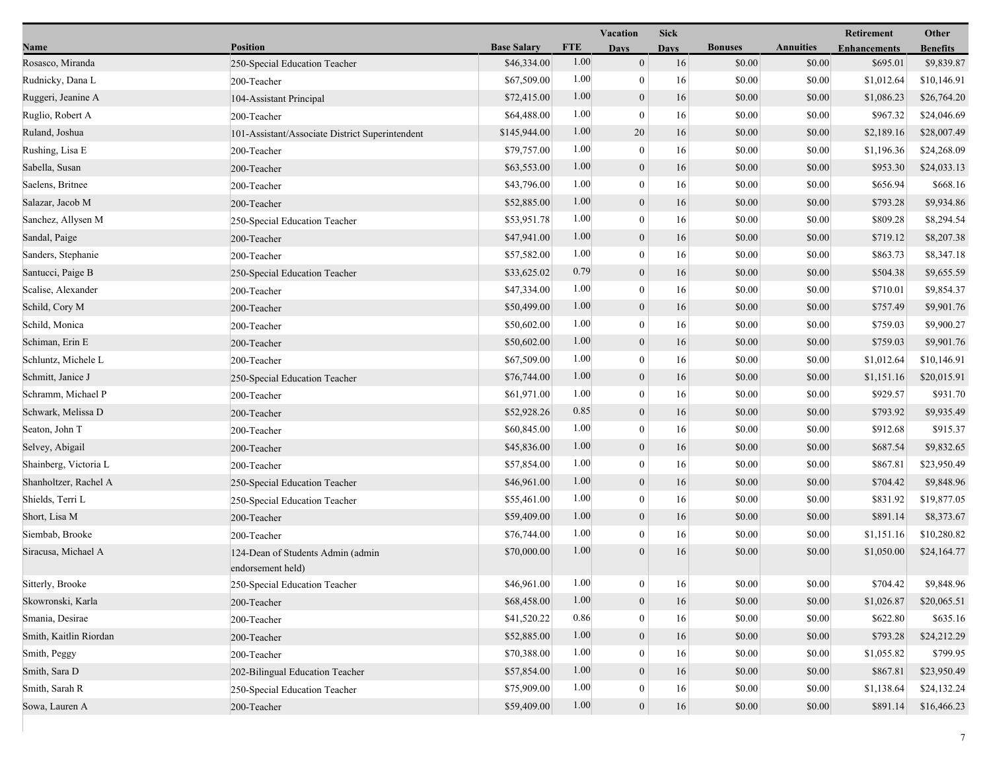|                        |                                                        |                    |            | Vacation         | <b>Sick</b> |                |                  | Retirement          | Other           |
|------------------------|--------------------------------------------------------|--------------------|------------|------------------|-------------|----------------|------------------|---------------------|-----------------|
| Name                   | <b>Position</b>                                        | <b>Base Salary</b> | <b>FTE</b> | <b>Days</b>      | <b>Days</b> | <b>Bonuses</b> | <b>Annuities</b> | <b>Enhancements</b> | <b>Benefits</b> |
| Rosasco, Miranda       | 250-Special Education Teacher                          | \$46,334.00        | 1.00       | $\mathbf{0}$     | 16          | \$0.00         | \$0.00           | \$695.01            | \$9,839.87      |
| Rudnicky, Dana L       | 200-Teacher                                            | \$67,509.00        | 1.00       | $\mathbf{0}$     | 16          | \$0.00         | \$0.00           | \$1,012.64          | \$10,146.91     |
| Ruggeri, Jeanine A     | 104-Assistant Principal                                | \$72,415.00        | 1.00       | $\mathbf{0}$     | 16          | \$0.00         | \$0.00           | \$1,086.23          | \$26,764.20     |
| Ruglio, Robert A       | 200-Teacher                                            | \$64,488.00        | 1.00       | $\mathbf{0}$     | 16          | \$0.00         | \$0.00           | \$967.32            | \$24,046.69     |
| Ruland, Joshua         | 101-Assistant/Associate District Superintendent        | \$145,944.00       | 1.00       | 20               | 16          | \$0.00         | \$0.00           | \$2,189.16          | \$28,007.49     |
| Rushing, Lisa E        | 200-Teacher                                            | \$79,757.00        | 1.00       | $\bf{0}$         | 16          | \$0.00         | \$0.00           | \$1,196.36          | \$24,268.09     |
| Sabella, Susan         | 200-Teacher                                            | \$63,553.00        | 1.00       | $\mathbf{0}$     | 16          | \$0.00         | \$0.00           | \$953.30            | \$24,033.13     |
| Saelens, Britnee       | 200-Teacher                                            | \$43,796.00        | 1.00       | $\mathbf{0}$     | 16          | \$0.00         | \$0.00           | \$656.94            | \$668.16        |
| Salazar, Jacob M       | 200-Teacher                                            | \$52,885.00        | 1.00       | $\boldsymbol{0}$ | 16          | \$0.00         | \$0.00           | \$793.28            | \$9,934.86      |
| Sanchez, Allysen M     | 250-Special Education Teacher                          | \$53,951.78        | 1.00       | $\mathbf{0}$     | 16          | \$0.00         | \$0.00           | \$809.28            | \$8,294.54      |
| Sandal, Paige          | 200-Teacher                                            | \$47,941.00        | 1.00       | $\mathbf{0}$     | 16          | \$0.00         | \$0.00           | \$719.12            | \$8,207.38      |
| Sanders, Stephanie     | 200-Teacher                                            | \$57,582.00        | 1.00       | $\mathbf{0}$     | 16          | \$0.00         | \$0.00           | \$863.73            | \$8,347.18      |
| Santucci, Paige B      | 250-Special Education Teacher                          | \$33,625.02        | 0.79       | $\mathbf{0}$     | 16          | \$0.00         | \$0.00           | \$504.38            | \$9,655.59      |
| Scalise, Alexander     | 200-Teacher                                            | \$47,334.00        | 1.00       | $\mathbf{0}$     | 16          | \$0.00         | \$0.00           | \$710.01            | \$9,854.37      |
| Schild, Cory M         | 200-Teacher                                            | \$50,499.00        | 1.00       | $\boldsymbol{0}$ | 16          | \$0.00         | \$0.00           | \$757.49            | \$9,901.76      |
| Schild, Monica         | 200-Teacher                                            | \$50,602.00        | 1.00       | $\theta$         | 16          | \$0.00         | \$0.00           | \$759.03            | \$9,900.27      |
| Schiman, Erin E        | 200-Teacher                                            | \$50,602.00        | 1.00       | $\boldsymbol{0}$ | 16          | \$0.00         | \$0.00           | \$759.03            | \$9,901.76      |
| Schluntz, Michele L    | 200-Teacher                                            | \$67,509.00        | 1.00       | $\theta$         | 16          | \$0.00         | \$0.00           | \$1,012.64          | \$10,146.91     |
| Schmitt, Janice J      | 250-Special Education Teacher                          | \$76,744.00        | 1.00       | $\mathbf{0}$     | 16          | \$0.00         | \$0.00           | \$1,151.16          | \$20,015.91     |
| Schramm, Michael P     | 200-Teacher                                            | \$61,971.00        | 1.00       | $\theta$         | 16          | \$0.00         | \$0.00           | \$929.57            | \$931.70        |
| Schwark, Melissa D     | 200-Teacher                                            | \$52,928.26        | 0.85       | $\boldsymbol{0}$ | 16          | \$0.00         | \$0.00           | \$793.92            | \$9,935.49      |
| Seaton, John T         | 200-Teacher                                            | \$60,845.00        | 1.00       | $\theta$         | 16          | \$0.00         | \$0.00           | \$912.68            | \$915.37        |
| Selvey, Abigail        | 200-Teacher                                            | \$45,836.00        | 1.00       | $\mathbf{0}$     | 16          | \$0.00         | \$0.00           | \$687.54            | \$9,832.65      |
| Shainberg, Victoria L  | 200-Teacher                                            | \$57,854.00        | 1.00       | $\mathbf{0}$     | 16          | \$0.00         | \$0.00           | \$867.81            | \$23,950.49     |
| Shanholtzer, Rachel A  | 250-Special Education Teacher                          | \$46,961.00        | 1.00       | $\mathbf{0}$     | 16          | \$0.00         | \$0.00           | \$704.42            | \$9,848.96      |
| Shields, Terri L       | 250-Special Education Teacher                          | \$55,461.00        | 1.00       | $\theta$         | 16          | \$0.00         | \$0.00           | \$831.92            | \$19,877.05     |
| Short, Lisa M          | 200-Teacher                                            | \$59,409.00        | 1.00       | $\mathbf{0}$     | 16          | \$0.00         | \$0.00           | \$891.14            | \$8,373.67      |
| Siembab, Brooke        | 200-Teacher                                            | \$76,744.00        | 1.00       | $\theta$         | 16          | \$0.00         | \$0.00           | \$1,151.16          | \$10,280.82     |
| Siracusa, Michael A    | 124-Dean of Students Admin (admin<br>endorsement held) | \$70,000.00        | 1.00       | $\theta$         | 16          | \$0.00         | \$0.00           | \$1,050.00          | \$24,164.77     |
| Sitterly, Brooke       | 250-Special Education Teacher                          | \$46,961.00        | $1.00\,$   | $\boldsymbol{0}$ | 16          | $\$0.00$       | $\$0.00$         | \$704.42            | \$9,848.96      |
| Skowronski, Karla      | 200-Teacher                                            | \$68,458.00        | 1.00       | $\mathbf{0}$     | 16          | \$0.00         | \$0.00           | \$1,026.87          | \$20,065.51     |
| Smania, Desirae        | 200-Teacher                                            | \$41,520.22        | 0.86       | $\theta$         | 16          | \$0.00         | \$0.00           | \$622.80            | \$635.16        |
| Smith, Kaitlin Riordan | 200-Teacher                                            | \$52,885.00        | 1.00       | $\mathbf{0}$     | 16          | \$0.00         | \$0.00           | \$793.28            | \$24,212.29     |
| Smith, Peggy           | 200-Teacher                                            | \$70,388.00        | 1.00       | $\theta$         | 16          | \$0.00         | \$0.00           | \$1,055.82          | \$799.95        |
| Smith, Sara D          | 202-Bilingual Education Teacher                        | \$57,854.00        | 1.00       | $\theta$         | 16          | \$0.00         | \$0.00           | \$867.81            | \$23,950.49     |
| Smith, Sarah R         | 250-Special Education Teacher                          | \$75,909.00        | 1.00       | $\boldsymbol{0}$ | 16          | \$0.00         | \$0.00           | \$1,138.64          | \$24,132.24     |
| Sowa, Lauren A         | 200-Teacher                                            | \$59,409.00        | 1.00       | $\boldsymbol{0}$ | 16          | \$0.00         | \$0.00           | \$891.14            | \$16,466.23     |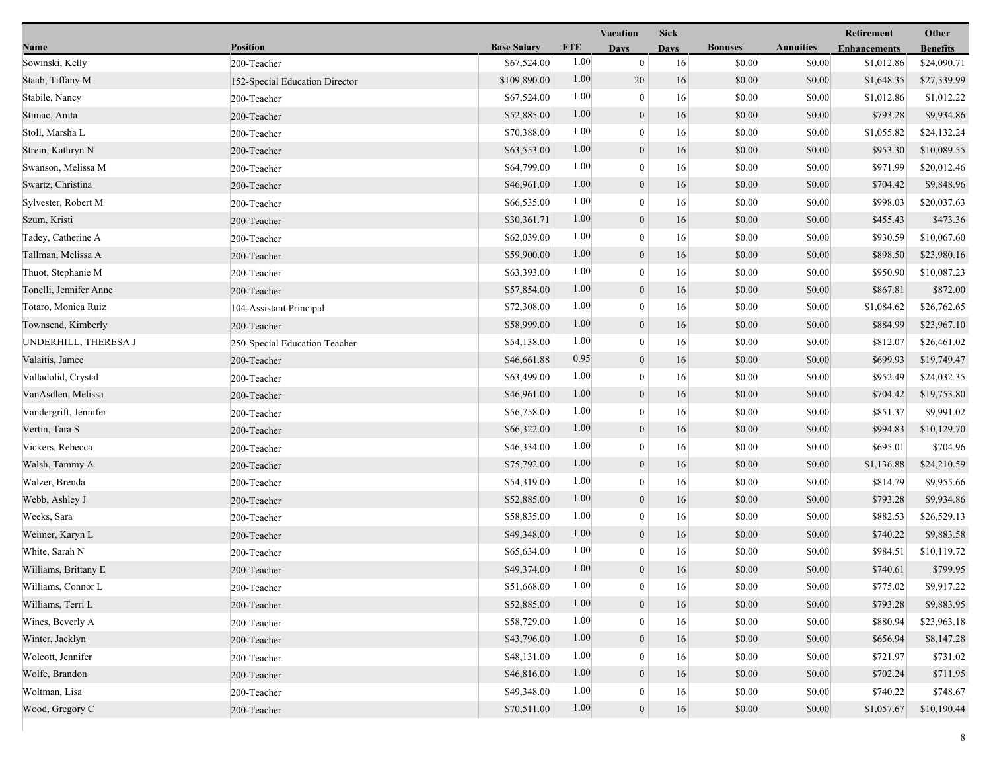|                        |                                |                    |            | <b>Vacation</b>  |             |                |                  | Retirement          | Other           |
|------------------------|--------------------------------|--------------------|------------|------------------|-------------|----------------|------------------|---------------------|-----------------|
| Name                   | <b>Position</b>                | <b>Base Salary</b> | <b>FTE</b> | <b>Days</b>      | <b>Days</b> | <b>Bonuses</b> | <b>Annuities</b> | <b>Enhancements</b> | <b>Benefits</b> |
| Sowinski, Kelly        | 200-Teacher                    | \$67,524.00        | 1.00       | $\mathbf{0}$     | 16          | \$0.00         | \$0.00           | \$1,012.86          | \$24,090.71     |
| Staab, Tiffany M       | 152-Special Education Director | \$109,890.00       | 1.00       | 20               | 16          | \$0.00         | \$0.00           | \$1,648.35          | \$27,339.99     |
| Stabile, Nancy         | 200-Teacher                    | \$67,524.00        | 1.00       | $\boldsymbol{0}$ | 16          | \$0.00         | \$0.00           | \$1,012.86          | \$1,012.22      |
| Stimac, Anita          | 200-Teacher                    | \$52,885.00        | 1.00       | $\boldsymbol{0}$ | 16          | \$0.00         | \$0.00           | \$793.28            | \$9,934.86      |
| Stoll, Marsha L        | 200-Teacher                    | \$70,388.00        | 1.00       | $\mathbf{0}$     | 16          | \$0.00         | \$0.00           | \$1,055.82          | \$24,132.24     |
| Strein, Kathryn N      | 200-Teacher                    | \$63,553.00        | 1.00       | $\boldsymbol{0}$ | 16          | \$0.00         | \$0.00           | \$953.30            | \$10,089.55     |
| Swanson, Melissa M     | 200-Teacher                    | \$64,799.00        | 1.00       | $\mathbf{0}$     | 16          | \$0.00         | \$0.00           | \$971.99            | \$20,012.46     |
| Swartz, Christina      | 200-Teacher                    | \$46,961.00        | 1.00       | $\mathbf{0}$     | 16          | \$0.00         | \$0.00           | \$704.42            | \$9,848.96      |
| Sylvester, Robert M    | 200-Teacher                    | \$66,535.00        | 1.00       | $\boldsymbol{0}$ | 16          | \$0.00         | \$0.00           | \$998.03            | \$20,037.63     |
| Szum, Kristi           | 200-Teacher                    | \$30,361.71        | 1.00       | $\boldsymbol{0}$ | 16          | \$0.00         | \$0.00           | \$455.43            | \$473.36        |
| Tadey, Catherine A     | 200-Teacher                    | \$62,039.00        | 1.00       | $\bf{0}$         | 16          | \$0.00         | \$0.00           | \$930.59            | \$10,067.60     |
| Tallman, Melissa A     | 200-Teacher                    | \$59,900.00        | 1.00       | $\mathbf{0}$     | 16          | \$0.00         | \$0.00           | \$898.50            | \$23,980.16     |
| Thuot, Stephanie M     | 200-Teacher                    | \$63,393.00        | 1.00       | $\mathbf{0}$     | 16          | \$0.00         | \$0.00           | \$950.90            | \$10,087.23     |
| Tonelli, Jennifer Anne | 200-Teacher                    | \$57,854.00        | 1.00       | $\mathbf{0}$     | 16          | \$0.00         | \$0.00           | \$867.81            | \$872.00        |
| Totaro, Monica Ruiz    | 104-Assistant Principal        | \$72,308.00        | 1.00       | $\mathbf{0}$     | 16          | \$0.00         | \$0.00           | \$1,084.62          | \$26,762.65     |
| Townsend, Kimberly     | 200-Teacher                    | \$58,999.00        | 1.00       | $\mathbf{0}$     | 16          | \$0.00         | \$0.00           | \$884.99            | \$23,967.10     |
| UNDERHILL, THERESA J   | 250-Special Education Teacher  | \$54,138.00        | 1.00       | $\bf{0}$         | 16          | \$0.00         | \$0.00           | \$812.07            | \$26,461.02     |
| Valaitis, Jamee        | 200-Teacher                    | \$46,661.88        | 0.95       | $\boldsymbol{0}$ | 16          | \$0.00         | \$0.00           | \$699.93            | \$19,749.47     |
| Valladolid, Crystal    | 200-Teacher                    | \$63,499.00        | 1.00       | $\mathbf{0}$     | 16          | \$0.00         | \$0.00           | \$952.49            | \$24,032.35     |
| VanAsdlen, Melissa     | 200-Teacher                    | \$46,961.00        | 1.00       | $\mathbf{0}$     | 16          | \$0.00         | \$0.00           | \$704.42            | \$19,753.80     |
| Vandergrift, Jennifer  | 200-Teacher                    | \$56,758.00        | 1.00       | $\mathbf{0}$     | 16          | \$0.00         | \$0.00           | \$851.37            | \$9,991.02      |
| Vertin, Tara S         | 200-Teacher                    | \$66,322.00        | 1.00       | $\mathbf{0}$     | 16          | \$0.00         | \$0.00           | \$994.83            | \$10,129.70     |
| Vickers, Rebecca       | 200-Teacher                    | \$46,334.00        | 1.00       | $\bf{0}$         | 16          | \$0.00         | \$0.00           | \$695.01            | \$704.96        |
| Walsh, Tammy A         | 200-Teacher                    | \$75,792.00        | 1.00       | $\mathbf{0}$     | 16          | \$0.00         | \$0.00           | \$1,136.88          | \$24,210.59     |
| Walzer, Brenda         | 200-Teacher                    | \$54,319.00        | 1.00       | $\mathbf{0}$     | 16          | \$0.00         | \$0.00           | \$814.79            | \$9,955.66      |
| Webb, Ashley J         | 200-Teacher                    | \$52,885.00        | 1.00       | $\mathbf{0}$     | 16          | \$0.00         | \$0.00           | \$793.28            | \$9,934.86      |
| Weeks, Sara            | 200-Teacher                    | \$58,835.00        | 1.00       | $\boldsymbol{0}$ | 16          | \$0.00         | \$0.00           | \$882.53            | \$26,529.13     |
| Weimer, Karyn L        | 200-Teacher                    | \$49,348.00        | 1.00       | $\boldsymbol{0}$ | 16          | \$0.00         | \$0.00           | \$740.22            | \$9,883.58      |
| White, Sarah N         | 200-Teacher                    | \$65,634.00        | 1.00       | $\bf{0}$         | 16          | \$0.00         | \$0.00           | \$984.51            | \$10,119.72     |
| Williams, Brittany E   | 200-Teacher                    | \$49,374.00        | 1.00       | $\overline{0}$   | 16          | \$0.00         | \$0.00           | \$740.61            | \$799.95        |
| Williams, Connor L     | 200-Teacher                    | \$51,668.00        | $1.00\,$   | $\theta$         | 16          | \$0.00         | \$0.00           | \$775.02            | \$9,917.22      |
| Williams, Terri L      | 200-Teacher                    | \$52,885.00        | 1.00       | $\boldsymbol{0}$ | 16          | \$0.00         | \$0.00           | \$793.28            | \$9,883.95      |
| Wines, Beverly A       | 200-Teacher                    | \$58,729.00        | 1.00       | $\bf{0}$         | 16          | \$0.00         | \$0.00           | \$880.94            | \$23,963.18     |
| Winter, Jacklyn        | 200-Teacher                    | \$43,796.00        | 1.00       | $\boldsymbol{0}$ | 16          | \$0.00         | \$0.00           | \$656.94            | \$8,147.28      |
| Wolcott, Jennifer      | 200-Teacher                    | \$48,131.00        | 1.00       | $\theta$         | 16          | \$0.00         | \$0.00           | \$721.97            | \$731.02        |
| Wolfe, Brandon         | 200-Teacher                    | \$46,816.00        | 1.00       | $\mathbf{0}$     | 16          | \$0.00         | \$0.00           | \$702.24            | \$711.95        |
| Woltman, Lisa          | 200-Teacher                    | \$49,348.00        | 1.00       | $\bf{0}$         | 16          | \$0.00         | \$0.00           | \$740.22            | \$748.67        |
| Wood, Gregory C        | 200-Teacher                    | \$70,511.00        | 1.00       | $\boldsymbol{0}$ | 16          | \$0.00         | \$0.00           | \$1,057.67          | \$10,190.44     |